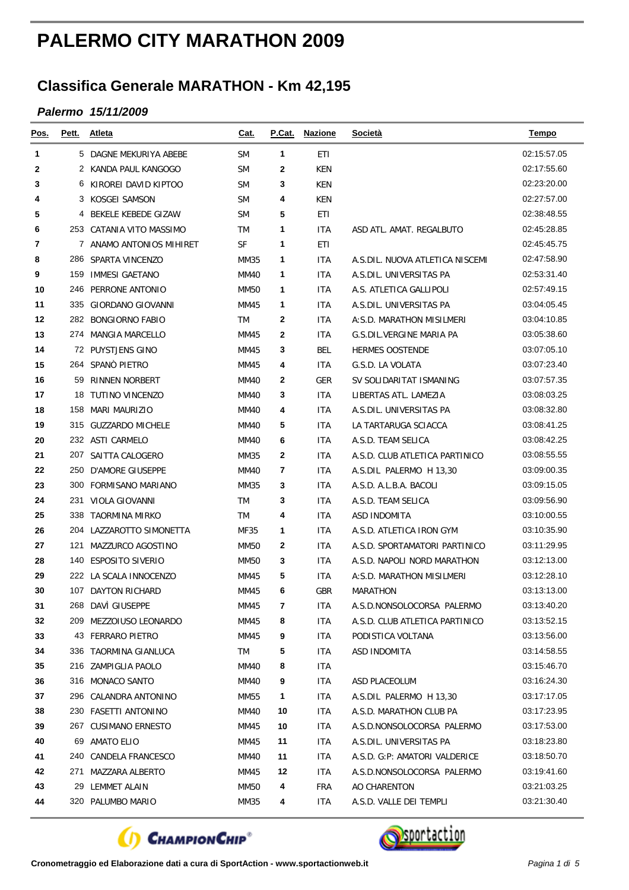## **PALERMO CITY MARATHON 2009**

## **Classifica Generale MARATHON - Km 42,195**

## *Palermo 15/11/2009*

| Pos. | Pett. | Atleta                   | <u>Cat.</u> |    | P.Cat. Nazione | <b>Società</b>                  | <b>Tempo</b> |
|------|-------|--------------------------|-------------|----|----------------|---------------------------------|--------------|
| 1    |       | 5 DAGNE MEKURIYA ABEBE   | <b>SM</b>   | 1  | ETI            |                                 | 02:15:57.05  |
| 2    |       | 2 KANDA PAUL KANGOGO     | <b>SM</b>   | 2  | KEN            |                                 | 02:17:55.60  |
| 3    |       | 6 KIROREI DAVID KIPTOO   | <b>SM</b>   | 3  | KEN            |                                 | 02:23:20.00  |
| 4    |       | 3 KOSGEI SAMSON          | <b>SM</b>   | 4  | KEN            |                                 | 02:27:57.00  |
| 5    |       | 4 BEKELE KEBEDE GIZAW    | <b>SM</b>   | 5  | ETI            |                                 | 02:38:48.55  |
| 6    |       | 253 CATANIA VITO MASSIMO | TM          | 1  | <b>ITA</b>     | ASD ATL. AMAT. REGALBUTO        | 02:45:28.85  |
| 7    |       | 7 ANAMO ANTONIOS MIHIRET | <b>SF</b>   | 1  | ETI            |                                 | 02:45:45.75  |
| 8    |       | 286 SPARTA VINCENZO      | MM35        | 1  | <b>ITA</b>     | A.S.DIL. NUOVA ATLETICA NISCEMI | 02:47:58.90  |
| 9    | 159   | <b>IMMESI GAETANO</b>    | MM40        | 1  | <b>ITA</b>     | A.S.DIL. UNIVERSITAS PA         | 02:53:31.40  |
| 10   |       | 246 PERRONE ANTONIO      | <b>MM50</b> | 1  | ITA            | A.S. ATLETICA GALLIPOLI         | 02:57:49.15  |
| 11   |       | 335 GIORDANO GIOVANNI    | MM45        | 1  | <b>ITA</b>     | A.S.DIL. UNIVERSITAS PA         | 03:04:05.45  |
| 12   |       | 282 BONGIORNO FABIO      | TM          | 2  | <b>ITA</b>     | A:S.D. MARATHON MISILMERI       | 03:04:10.85  |
| 13   |       | 274 MANGIA MARCELLO      | MM45        | 2  | <b>ITA</b>     | G.S.DIL.VERGINE MARIA PA        | 03:05:38.60  |
| 14   |       | 72 PUYSTJENS GINO        | MM45        | 3  | BEL            | <b>HERMES OOSTENDE</b>          | 03:07:05.10  |
| 15   |       | 264 SPANÒ PIETRO         | MM45        | 4  | <b>ITA</b>     | G.S.D. LA VOLATA                | 03:07:23.40  |
| 16   |       | 59 RINNEN NORBERT        | <b>MM40</b> | 2  | <b>GER</b>     | SV SOLIDARITAT ISMANING         | 03:07:57.35  |
| 17   | 18    | TUTINO VINCENZO          | MM40        | 3  | <b>ITA</b>     | LIBERTAS ATL. LAMEZIA           | 03:08:03.25  |
| 18   |       | 158 MARI MAURIZIO        | <b>MM40</b> | 4  | ITA            | A.S.DIL. UNIVERSITAS PA         | 03:08:32.80  |
| 19   |       | 315 GUZZARDO MICHELE     | MM40        | 5  | <b>ITA</b>     | LA TARTARUGA SCIACCA            | 03:08:41.25  |
| 20   |       | 232 ASTI CARMELO         | MM40        | 6  | <b>ITA</b>     | A.S.D. TEAM SELICA              | 03:08:42.25  |
| 21   |       | 207 SAITTA CALOGERO      | MM35        | 2  | <b>ITA</b>     | A.S.D. CLUB ATLETICA PARTINICO  | 03:08:55.55  |
| 22   |       | 250 D'AMORE GIUSEPPE     | <b>MM40</b> | 7  | ITA            | A.S.DIL PALERMO H 13,30         | 03:09:00.35  |
| 23   |       | 300 FORMISANO MARIANO    | MM35        | 3  | <b>ITA</b>     | A.S.D. A.L.B.A. BACOLI          | 03:09:15.05  |
| 24   |       | 231 VIOLA GIOVANNI       | TM          | 3  | <b>ITA</b>     | A.S.D. TEAM SELICA              | 03:09:56.90  |
| 25   | 338   | TAORMINA MIRKO           | TM          | 4  | ITA            | ASD INDOMITA                    | 03:10:00.55  |
| 26   |       | 204 LAZZAROTTO SIMONETTA | MF35        | 1  | ITA            | A.S.D. ATLETICA IRON GYM        | 03:10:35.90  |
| 27   | 121   | MAZZURCO AGOSTINO        | MM50        | 2  | <b>ITA</b>     | A.S.D. SPORTAMATORI PARTINICO   | 03:11:29.95  |
| 28   |       | 140 ESPOSITO SIVERIO     | <b>MM50</b> | 3  | <b>ITA</b>     | A.S.D. NAPOLI NORD MARATHON     | 03:12:13.00  |
| 29   |       | 222 LA SCALA INNOCENZO   | MM45        | 5  | ITA            | A:S.D. MARATHON MISILMERI       | 03:12:28.10  |
| 30   |       | 107 DAYTON RICHARD       | MM45        | 6  | <b>GBR</b>     | <b>MARATHON</b>                 | 03:13:13.00  |
| 31   |       | 268 DAVI GIUSEPPE        | MM45        | 7  | <b>ITA</b>     | A.S.D.NONSOLOCORSA PALERMO      | 03:13:40.20  |
| 32   |       | 209 MEZZOIUSO LEONARDO   | MM45        | 8  | ITA            | A.S.D. CLUB ATLETICA PARTINICO  | 03:13:52.15  |
| 33   |       | 43 FERRARO PIETRO        | MM45        | 9  | ITA.           | PODISTICA VOLTANA               | 03:13:56.00  |
| 34   |       | 336 TAORMINA GIANLUCA    | TM          | 5  | ITA.           | ASD INDOMITA                    | 03:14:58.55  |
| 35   |       | 216 ZAMPIGLIA PAOLO      | MM40        | 8  | <b>ITA</b>     |                                 | 03:15:46.70  |
| 36   |       | 316 MONACO SANTO         | MM40        | 9  | ITA.           | ASD PLACEOLUM                   | 03:16:24.30  |
| 37   |       | 296 CALANDRA ANTONINO    | MM55        | 1  | ITA.           | A.S.DIL PALERMO H 13,30         | 03:17:17.05  |
| 38   |       | 230 FASETTI ANTONINO     | MM40        | 10 | ITA.           | A.S.D. MARATHON CLUB PA         | 03:17:23.95  |
| 39   |       | 267 CUSIMANO ERNESTO     | MM45        | 10 | ITA.           | A.S.D.NONSOLOCORSA PALERMO      | 03:17:53.00  |
| 40   |       | 69 AMATO ELIO            | MM45        | 11 | ITA.           | A.S.DIL. UNIVERSITAS PA         | 03:18:23.80  |
| 41   |       | 240 CANDELA FRANCESCO    | MM40        | 11 | ITA.           | A.S.D. G:P: AMATORI VALDERICE   | 03:18:50.70  |
| 42   |       | 271 MAZZARA ALBERTO      | MM45        | 12 | ITA.           | A.S.D.NONSOLOCORSA PALERMO      | 03:19:41.60  |
| 43   |       | 29 LEMMET ALAIN          | MM50        | 4  | <b>FRA</b>     | AO CHARENTON                    | 03:21:03.25  |
| 44   |       | 320 PALUMBO MARIO        | MM35        | 4  | ITA.           | A.S.D. VALLE DEI TEMPLI         | 03:21:30.40  |



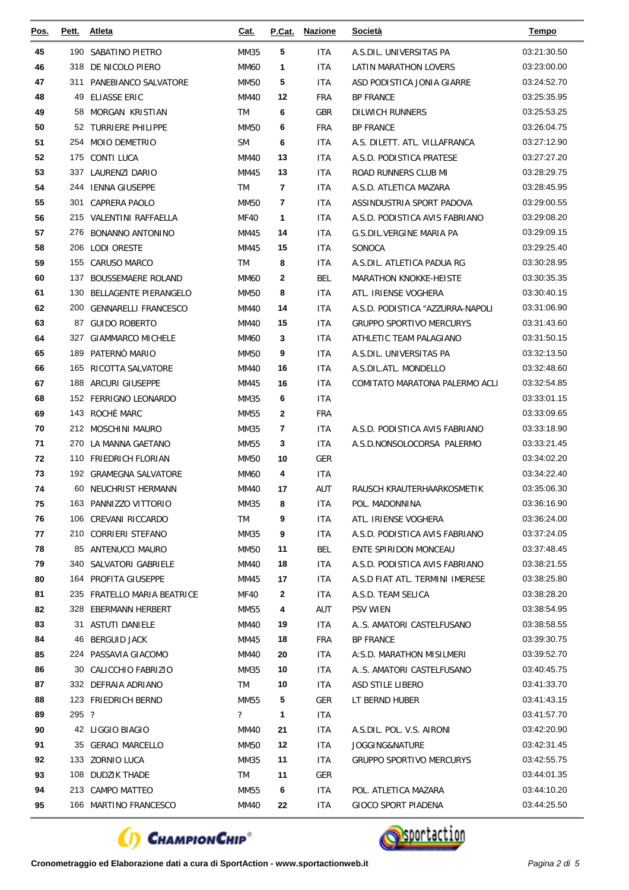| Pos.     | Pett. | <b>Atleta</b>                                   | Cat.                       | P.Cat.         | <b>Nazione</b>    | <b>Società</b>                   | <b>Tempo</b>               |
|----------|-------|-------------------------------------------------|----------------------------|----------------|-------------------|----------------------------------|----------------------------|
| 45       | 190   | SABATINO PIETRO                                 | <b>MM35</b>                | 5              | <b>ITA</b>        | A.S.DIL. UNIVERSITAS PA          | 03:21:30.50                |
| 46       |       | 318 DE NICOLO PIERO                             | <b>MM60</b>                | 1              | <b>ITA</b>        | LATIN MARATHON LOVERS            | 03:23:00.00                |
| 47       |       | 311 PANEBIANCO SALVATORE                        | MM50                       | 5              | <b>ITA</b>        | ASD PODISTICA JONIA GIARRE       | 03:24:52.70                |
| 48       |       | 49 ELIASSE ERIC                                 | <b>MM40</b>                | 12             | <b>FRA</b>        | <b>BP FRANCE</b>                 | 03:25:35.95                |
| 49       |       | 58 MORGAN KRISTIAN                              | TM                         | 6              | GBR               | <b>DILWICH RUNNERS</b>           | 03:25:53.25                |
| 50       |       | 52 TURRIERE PHILIPPE                            | <b>MM50</b>                | 6              | <b>FRA</b>        | <b>BP FRANCE</b>                 | 03:26:04.75                |
| 51       |       | 254 MOIO DEMETRIO                               | <b>SM</b>                  | 6              | <b>ITA</b>        | A.S. DILETT. ATL. VILLAFRANCA    | 03:27:12.90                |
| 52       |       | 175 CONTI LUCA                                  | <b>MM40</b>                | 13             | <b>ITA</b>        | A.S.D. PODISTICA PRATESE         | 03:27:27.20                |
| 53       |       | 337 LAURENZI DARIO                              | MM45                       | 13             | <b>ITA</b>        | ROAD RUNNERS CLUB MI             | 03:28:29.75                |
| 54       |       | 244 IENNA GIUSEPPE                              | TM                         | $\overline{7}$ | <b>ITA</b>        | A.S.D. ATLETICA MAZARA           | 03:28:45.95                |
| 55       | 301   | <b>CAPRERA PAOLO</b>                            | <b>MM50</b>                | 7              | <b>ITA</b>        | ASSINDUSTRIA SPORT PADOVA        | 03:29:00.55                |
| 56       |       | 215 VALENTINI RAFFAELLA                         | <b>MF40</b>                | 1              | <b>ITA</b>        | A.S.D. PODISTICA AVIS FABRIANO   | 03:29:08.20                |
| 57       | 276   | <b>BONANNO ANTONINO</b>                         | MM45                       | 14             | <b>ITA</b>        | G.S.DIL.VERGINE MARIA PA         | 03:29:09.15                |
| 58       |       | 206 LODI ORESTE                                 | <b>MM45</b>                | 15             | <b>ITA</b>        | SONOCA                           | 03:29:25.40                |
| 59       |       | 155 CARUSO MARCO                                | TM                         | 8              | <b>ITA</b>        | A.S.DIL. ATLETICA PADUA RG       | 03:30:28.95                |
| 60       | 137   | <b>BOUSSEMAERE ROLAND</b>                       | <b>MM60</b>                | 2              | <b>BEL</b>        | <b>MARATHON KNOKKE-HEISTE</b>    | 03:30:35.35                |
| 61       | 130   | BELLAGENTE PIERANGELO                           | <b>MM50</b>                | 8              | <b>ITA</b>        | ATL. IRIENSE VOGHERA             | 03:30:40.15                |
| 62       |       | 200 GENNARELLI FRANCESCO                        | <b>MM40</b>                | 14             | <b>ITA</b>        | A.S.D. PODISTICA "AZZURRA-NAPOLI | 03:31:06.90                |
| 63       |       | 87 GUIDO ROBERTO                                | MM40                       | 15             | <b>ITA</b>        | <b>GRUPPO SPORTIVO MERCURYS</b>  | 03:31:43.60                |
| 64       |       | 327 GIAMMARCO MICHELE                           | <b>MM60</b>                | 3              | <b>ITA</b>        | ATHLETIC TEAM PALAGIANO          | 03:31:50.15                |
| 65       | 189   | PATERNÒ MARIO                                   | <b>MM50</b>                | 9              | <b>ITA</b>        | A.S.DIL. UNIVERSITAS PA          | 03:32:13.50                |
| 66       | 165   | RICOTTA SALVATORE                               | MM40                       | 16             | <b>ITA</b>        | A.S.DIL.ATL. MONDELLO            | 03:32:48.60                |
| 67       |       | 188 ARCURI GIUSEPPE                             | MM45                       | 16             | <b>ITA</b>        | COMITATO MARATONA PALERMO ACLI   | 03:32:54.85                |
| 68       |       | 152 FERRIGNO LEONARDO                           | MM35                       | 6              | <b>ITA</b>        |                                  | 03:33:01.15                |
| 69       |       | 143 ROCHÈ MARC                                  | <b>MM55</b>                | 2              | <b>FRA</b>        |                                  | 03:33:09.65                |
| 70       |       | 212 MOSCHINI MAURO                              | MM35                       | 7              | <b>ITA</b>        | A.S.D. PODISTICA AVIS FABRIANO   | 03:33:18.90                |
| 71       | 270   | LA MANNA GAETANO                                | MM55                       | 3              | <b>ITA</b>        | A.S.D.NONSOLOCORSA PALERMO       | 03:33:21.45                |
| 72<br>73 |       | 110 FRIEDRICH FLORIAN<br>192 GRAMEGNA SALVATORE | <b>MM50</b><br><b>MM60</b> | 10<br>4        | GER<br><b>ITA</b> |                                  | 03:34:02.20<br>03:34:22.40 |
| 74       |       | 60 NEUCHRIST HERMANN                            | MM40                       | 17             | AUT               | RAUSCH KRAUTERHAARKOSMETIK       | 03:35:06.30                |
| 75       |       | 163 PANNIZZO VITTORIO                           | MM35                       | 8              | <b>ITA</b>        | POL. MADONNINA                   | 03:36:16.90                |
| 76       |       | 106 CREVANI RICCARDO                            | TM                         | 9              | ITA               | ATL. IRIENSE VOGHERA             | 03:36:24.00                |
| 77       |       | 210 CORRIERI STEFANO                            | <b>MM35</b>                | 9              | <b>ITA</b>        | A.S.D. PODISTICA AVIS FABRIANO   | 03:37:24.05                |
| 78       |       | 85 ANTENUCCI MAURO                              | MM50                       | 11             | BEL               | ENTE SPIRIDON MONCEAU            | 03:37:48.45                |
| 79       |       | 340 SALVATORI GABRIELE                          | MM40                       | 18             | ITA               | A.S.D. PODISTICA AVIS FABRIANO   | 03:38:21.55                |
| 80       |       | 164 PROFITA GIUSEPPE                            | MM45                       | 17             | ITA               | A.S.D FIAT ATL. TERMINI IMERESE  | 03:38:25.80                |
| 81       |       | 235 FRATELLO MARIA BEATRICE                     | <b>MF40</b>                | 2              | <b>ITA</b>        | A.S.D. TEAM SELICA               | 03:38:28.20                |
| 82       |       | 328 EBERMANN HERBERT                            | MM55                       | 4              | AUT               | <b>PSV WIEN</b>                  | 03:38:54.95                |
| 83       |       | 31 ASTUTI DANIELE                               | MM40                       | 19             | ITA               | AS. AMATORI CASTELFUSANO         | 03:38:58.55                |
| 84       |       | 46 BERGUID JACK                                 | MM45                       | 18             | <b>FRA</b>        | <b>BP FRANCE</b>                 | 03:39:30.75                |
| 85       |       | 224 PASSAVIA GIACOMO                            | MM40                       | 20             | ITA               | A:S.D. MARATHON MISILMERI        | 03:39:52.70                |
| 86       |       | 30 CALICCHIO FABRIZIO                           | MM35                       | 10             | <b>ITA</b>        | AS. AMATORI CASTELFUSANO         | 03:40:45.75                |
| 87       |       | 332 DEFRAIA ADRIANO                             | TM                         | 10             | ITA               | ASD STILE LIBERO                 | 03:41:33.70                |
| 88       |       | 123 FRIEDRICH BERND                             | <b>MM55</b>                | 5              | GER               | LT BERND HUBER                   | 03:41:43.15                |
| 89       | 295 ? |                                                 | ?                          | 1              | <b>ITA</b>        |                                  | 03:41:57.70                |
| 90       |       | 42 LIGGIO BIAGIO                                | MM40                       | 21             | ITA               | A.S.DIL. POL. V.S. AIRONI        | 03:42:20.90                |
| 91       |       | 35 GERACI MARCELLO                              | <b>MM50</b>                | 12             | ITA               | JOGGING&NATURE                   | 03:42:31.45                |
| 92       |       | 133 ZORNIO LUCA                                 | MM35                       | 11             | <b>ITA</b>        | <b>GRUPPO SPORTIVO MERCURYS</b>  | 03:42:55.75                |
| 93       |       | 108 DUDZIK THADE                                | TM                         | 11             | GER               |                                  | 03:44:01.35                |
| 94       |       | 213 CAMPO MATTEO                                | MM55                       | 6              | <b>ITA</b>        | POL. ATLETICA MAZARA             | 03:44:10.20                |
| 95       |       | 166 MARTINO FRANCESCO                           | MM40                       | 22             | ITA               | GIOCO SPORT PIADENA              | 03:44:25.50                |



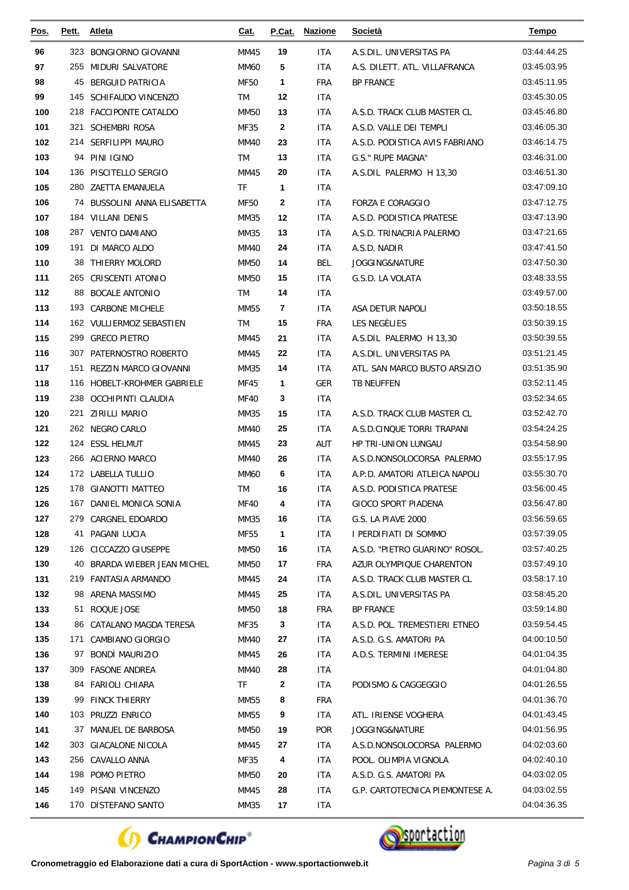| Pos.       | Pett. | <b>Atleta</b>                                | Cat.              | P.Cat.             | <b>Nazione</b>    | <b>Società</b>                               | <b>Tempo</b>               |
|------------|-------|----------------------------------------------|-------------------|--------------------|-------------------|----------------------------------------------|----------------------------|
| 96         |       | 323 BONGIORNO GIOVANNI                       | MM45              | 19                 | <b>ITA</b>        | A.S.DIL. UNIVERSITAS PA                      | 03:44:44.25                |
| 97         |       | 255 MIDURI SALVATORE                         | <b>MM60</b>       | 5                  | <b>ITA</b>        | A.S. DILETT. ATL. VILLAFRANCA                | 03:45:03.95                |
| 98         | 45    | BERGUID PATRICIA                             | <b>MF50</b>       | 1                  | <b>FRA</b>        | <b>BP FRANCE</b>                             | 03:45:11.95                |
| 99         |       | 145 SCHIFAUDO VINCENZO                       | TM                | 12                 | <b>ITA</b>        |                                              | 03:45:30.05                |
| 100        |       | 218 FACCIPONTE CATALDO                       | <b>MM50</b>       | 13                 | <b>ITA</b>        | A.S.D. TRACK CLUB MASTER CL                  | 03:45:46.80                |
| 101        | 321   | <b>SCHEMBRI ROSA</b>                         | MF35              | $\mathbf{2}$       | <b>ITA</b>        | A.S.D. VALLE DEI TEMPLI                      | 03:46:05.30                |
| 102        |       | 214 SERFILIPPI MAURO                         | MM40              | 23                 | <b>ITA</b>        | A.S.D. PODISTICA AVIS FABRIANO               | 03:46:14.75                |
| 103        |       | 94 PINI IGINO                                | <b>TM</b>         | 13                 | <b>ITA</b>        | G.S." RUPE MAGNA"                            | 03:46:31.00                |
| 104        |       | 136 PISCITELLO SERGIO                        | MM45              | 20                 | <b>ITA</b>        | A.S.DIL PALERMO H 13,30                      | 03:46:51.30                |
| 105        |       | 280 ZAETTA EMANUELA                          | <b>TF</b>         | 1                  | <b>ITA</b>        |                                              | 03:47:09.10                |
| 106        |       | 74 BUSSOLINI ANNA ELISABETTA                 | <b>MF50</b>       | $\mathbf{2}$       | <b>ITA</b>        | <b>FORZA E CORAGGIO</b>                      | 03:47:12.75                |
| 107        |       | 184 VILLANI DENIS                            | MM35              | 12                 | <b>ITA</b>        | A.S.D. PODISTICA PRATESE                     | 03:47:13.90                |
| 108        | 287   | <b>VENTO DAMIANO</b>                         | MM35              | 13                 | <b>ITA</b>        | A.S.D. TRINACRIA PALERMO                     | 03:47:21.65                |
| 109        |       | 191 DI MARCO ALDO                            | <b>MM40</b>       | 24                 | <b>ITA</b>        | A.S.D. NADIR                                 | 03:47:41.50                |
| 110        |       | 38 THIERRY MOLORD                            | <b>MM50</b>       | 14                 | <b>BEL</b>        | JOGGING&NATURE                               | 03:47:50.30                |
| 111        |       | 265 CRISCENTI ATONIO                         | <b>MM50</b>       | 15                 | <b>ITA</b>        | G.S.D. LA VOLATA                             | 03:48:33.55                |
| 112        | 88    | <b>BOCALE ANTONIO</b>                        | TM                | 14                 | <b>ITA</b>        |                                              | 03:49:57.00                |
| 113        |       | 193 CARBONE MICHELE                          | MM55              | 7                  | <b>ITA</b>        | ASA DETUR NAPOLI                             | 03:50:18.55                |
| 114        |       | 162 VULLIERMOZ SEBASTIEN                     | TM                | 15                 | <b>FRA</b>        | LES NEGÈLIES                                 | 03:50:39.15                |
| 115        |       | 299 GRECO PIETRO                             | MM45              | 21                 | <b>ITA</b>        | A.S.DIL PALERMO H 13,30                      | 03:50:39.55                |
| 116        |       | 307 PATERNOSTRO ROBERTO                      | MM45              | 22                 | <b>ITA</b>        | A.S.DIL. UNIVERSITAS PA                      | 03:51:21.45                |
| 117        | 151   | REZZIN MARCO GIOVANNI                        | MM35              | 14                 | <b>ITA</b>        | ATL. SAN MARCO BUSTO ARSIZIO                 | 03:51:35.90                |
| 118        |       | 116 HOBELT-KROHMER GABRIELE                  | MF45              | 1                  | <b>GER</b>        | TB NEUFFEN                                   | 03:52:11.45                |
| 119        |       | 238 OCCHIPINTI CLAUDIA                       | <b>MF40</b>       | 3                  | <b>ITA</b>        |                                              | 03:52:34.65                |
| 120        | 221   | ZIRILLI MARIO                                | MM35              | 15                 | <b>ITA</b>        | A.S.D. TRACK CLUB MASTER CL                  | 03:52:42.70                |
| 121        |       | 262 NEGRO CARLO                              | MM40              | 25                 | <b>ITA</b>        | A.S.D.CINQUE TORRI TRAPANI                   | 03:54:24.25                |
| 122        |       | 124 ESSL HELMUT                              | MM45              | 23                 | AUT               | HP TRI-UNION LUNGAU                          | 03:54:58.90                |
| 123        |       | 266 ACIERNO MARCO                            | MM40              | 26                 | <b>ITA</b>        | A.S.D.NONSOLOCORSA PALERMO                   | 03:55:17.95                |
| 124        |       | 172 LABELLA TULLIO                           | <b>MM60</b>       | 6                  | <b>ITA</b>        | A.P:D. AMATORI ATLEICA NAPOLI                | 03:55:30.70                |
| 125        |       | 178 GIANOTTI MATTEO                          | <b>TM</b>         | 16                 | <b>ITA</b>        | A.S.D. PODISTICA PRATESE                     | 03:56:00.45                |
| 126        |       | 167 DANIEL MONICA SONIA                      | <b>MF40</b>       | 4                  | <b>ITA</b>        | GIOCO SPORT PIADENA                          | 03:56:47.80                |
| 127        |       | 279 CARGNEL EDOARDO                          | MM35              | 16                 | <b>ITA</b>        | G.S. LA PIAVE 2000                           | 03:56:59.65                |
| 128        |       | 41 PAGANI LUCIA                              | <b>MF55</b>       | $\mathbf{1}$       | <b>ITA</b>        | I PERDIFIATI DI SOMMO                        | 03:57:39.05                |
| 129        |       | 126 CICCAZZO GIUSEPPE                        | MM50              | 16                 | <b>ITA</b>        | A.S.D. "PIETRO GUARINO" ROSOL.               | 03:57:40.25                |
| 130        |       | 40 BRARDA WIEBER JEAN MICHEL                 | MM50              | 17                 | <b>FRA</b>        | AZUR OLYMPIQUE CHARENTON                     | 03:57:49.10                |
| 131        |       | 219 FANTASIA ARMANDO                         | MM45              | 24                 | <b>ITA</b>        | A.S.D. TRACK CLUB MASTER CL                  | 03:58:17.10                |
| 132        |       | 98 ARENA MASSIMO                             | MM45              | 25                 | <b>ITA</b>        | A.S.DIL. UNIVERSITAS PA                      | 03:58:45.20                |
| 133        |       | 51 ROQUE JOSE                                | MM50              | 18                 | FRA               | <b>BP FRANCE</b>                             | 03:59:14.80                |
| 134        |       | 86 CATALANO MAGDA TERESA                     | MF35              | 3                  | ITA               | A.S.D. POL. TREMESTIERI ETNEO                | 03:59:54.45                |
| 135<br>136 |       | 171 CAMBIANO GIORGIO                         | MM40              | 27                 | <b>ITA</b>        | A.S.D. G.S. AMATORI PA                       | 04:00:10.50                |
| 137        |       | 97 BONDI MAURIZIO                            | MM45              | 26                 | ITA               | A.D.S. TERMINI IMERESE                       | 04:01:04.35                |
| 138        |       | 309 FASONE ANDREA<br>84 FARIOLI CHIARA       | MM40<br><b>TF</b> | 28<br>$\mathbf{2}$ | <b>ITA</b>        |                                              | 04:01:04.80<br>04:01:26.55 |
| 139        |       | 99 FINCK THIERRY                             |                   |                    | ITA<br><b>FRA</b> | PODISMO & CAGGEGGIO                          | 04:01:36.70                |
| 140        |       | 103 PRUZZI ENRICO                            | MM55              | 8<br>9             | <b>ITA</b>        | ATL. IRIENSE VOGHERA                         | 04:01:43.45                |
|            |       |                                              | MM55              |                    |                   |                                              |                            |
| 141<br>142 |       | 37 MANUEL DE BARBOSA<br>303 GIACALONE NICOLA | MM50<br>MM45      | 19<br>27           | <b>POR</b>        | JOGGING&NATURE<br>A.S.D.NONSOLOCORSA PALERMO | 04:01:56.95<br>04:02:03.60 |
| 143        |       | 256 CAVALLO ANNA                             | MF35              | 4                  | ITA<br>ITA        | POOL. OLIMPIA VIGNOLA                        | 04:02:40.10                |
| 144        |       | 198 POMO PIETRO                              | MM50              | 20                 | ITA               | A.S.D. G.S. AMATORI PA                       | 04:03:02.05                |
| 145        |       | 149 PISANI VINCENZO                          | MM45              | 28                 | <b>ITA</b>        | G.P. CARTOTECNICA PIEMONTESE A.              | 04:03:02.55                |
| 146        |       | 170 DISTEFANO SANTO                          | MM35              | 17                 | ITA               |                                              | 04:04:36.35                |
|            |       |                                              |                   |                    |                   |                                              |                            |



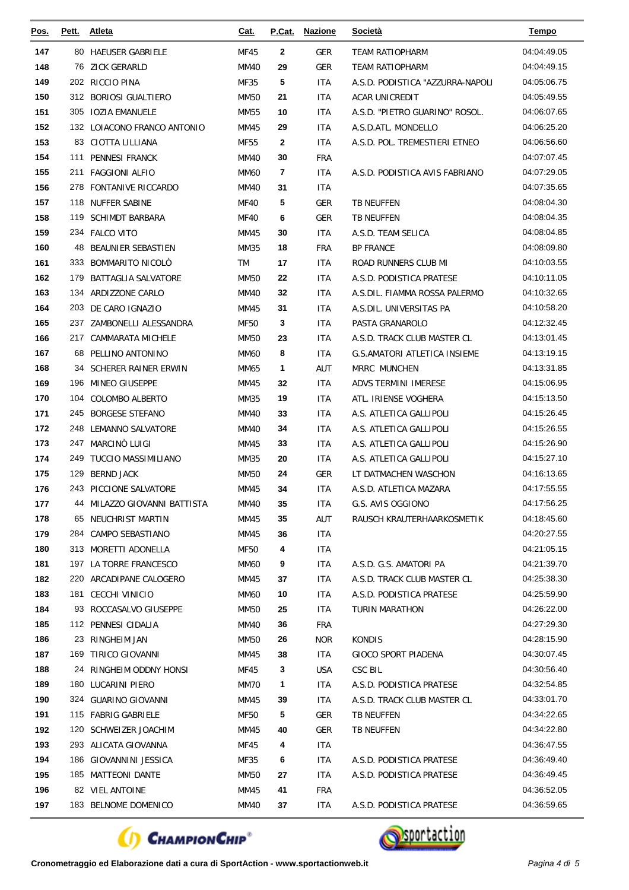| Pos. | Pett. | <b>Atleta</b>                | <u>Cat.</u> | P.Cat.       | <b>Nazione</b> | <u>Società</u>                      | Tempo       |
|------|-------|------------------------------|-------------|--------------|----------------|-------------------------------------|-------------|
| 147  |       | 80 HAEUSER GABRIELE          | <b>MF45</b> | $\mathbf{2}$ | <b>GER</b>     | <b>TEAM RATIOPHARM</b>              | 04:04:49.05 |
| 148  | 76    | ZICK GERARLD                 | <b>MM40</b> | 29           | <b>GER</b>     | <b>TEAM RATIOPHARM</b>              | 04:04:49.15 |
| 149  |       | 202 RICCIO PINA              | MF35        | 5            | ITA            | A.S.D. PODISTICA "AZZURRA-NAPOLI    | 04:05:06.75 |
| 150  |       | 312 BORIOSI GUALTIERO        | <b>MM50</b> | 21           | ITA            | ACAR UNICREDIT                      | 04:05:49.55 |
| 151  |       | 305 IOZIA EMANUELE           | MM55        | 10           | ITA            | A.S.D. "PIETRO GUARINO" ROSOL.      | 04:06:07.65 |
| 152  |       | 132 LOIACONO FRANCO ANTONIO  | MM45        | 29           | ITA            | A.S.D.ATL. MONDELLO                 | 04:06:25.20 |
| 153  | 83    | CIOTTA LILLIANA              | <b>MF55</b> | $\mathbf{2}$ | <b>ITA</b>     | A.S.D. POL. TREMESTIERI ETNEO       | 04:06:56.60 |
| 154  | 111   | <b>PENNESI FRANCK</b>        | MM40        | 30           | <b>FRA</b>     |                                     | 04:07:07.45 |
| 155  |       | 211 FAGGIONI ALFIO           | <b>MM60</b> | 7            | ITA            | A.S.D. PODISTICA AVIS FABRIANO      | 04:07:29.05 |
| 156  |       | 278 FONTANIVE RICCARDO       | <b>MM40</b> | 31           | ITA            |                                     | 04:07:35.65 |
| 157  | 118   | NUFFER SABINE                | <b>MF40</b> | 5            | GER            | TB NEUFFEN                          | 04:08:04.30 |
| 158  |       | 119 SCHIMDT BARBARA          | <b>MF40</b> | 6            | <b>GER</b>     | <b>TB NEUFFEN</b>                   | 04:08:04.35 |
| 159  |       | 234 FALCO VITO               | MM45        | 30           | <b>ITA</b>     | A.S.D. TEAM SELICA                  | 04:08:04.85 |
| 160  | 48    | BEAUNIER SEBASTIEN           | MM35        | 18           | <b>FRA</b>     | <b>BP FRANCE</b>                    | 04:08:09.80 |
| 161  | 333   | BOMMARITO NICOLÒ             | TM          | 17           | <b>ITA</b>     | ROAD RUNNERS CLUB MI                | 04:10:03.55 |
| 162  | 179   | BATTAGLIA SALVATORE          | MM50        | 22           | ITA            | A.S.D. PODISTICA PRATESE            | 04:10:11.05 |
| 163  |       | 134 ARDIZZONE CARLO          | MM40        | 32           | ITA            | A.S.DIL. FIAMMA ROSSA PALERMO       | 04:10:32.65 |
| 164  |       | 203 DE CARO IGNAZIO          | MM45        | 31           | ITA            | A.S.DIL. UNIVERSITAS PA             | 04:10:58.20 |
| 165  | 237   | ZAMBONELLI ALESSANDRA        | <b>MF50</b> | 3            | ITA            | PASTA GRANAROLO                     | 04:12:32.45 |
| 166  |       | 217 CAMMARATA MICHELE        | <b>MM50</b> | 23           | ITA            | A.S.D. TRACK CLUB MASTER CL         | 04:13:01.45 |
| 167  | 68    | PELLINO ANTONINO             | MM60        | 8            | ITA            | <b>G.S.AMATORI ATLETICA INSIEME</b> | 04:13:19.15 |
| 168  |       | 34 SCHERER RAINER ERWIN      | MM65        | $\mathbf{1}$ | AUT            | MRRC MUNCHEN                        | 04:13:31.85 |
| 169  | 196   | MINEO GIUSEPPE               | MM45        | 32           | <b>ITA</b>     | <b>ADVS TERMINI IMERESE</b>         | 04:15:06.95 |
| 170  |       | 104 COLOMBO ALBERTO          | MM35        | 19           | ITA            | ATL. IRIENSE VOGHERA                | 04:15:13.50 |
| 171  |       | 245 BORGESE STEFANO          | MM40        | 33           | ITA            | A.S. ATLETICA GALLIPOLI             | 04:15:26.45 |
| 172  |       | 248 LEMANNO SALVATORE        | MM40        | 34           | ITA            | A.S. ATLETICA GALLIPOLI             | 04:15:26.55 |
| 173  |       | 247 MARCINO LUIGI            | MM45        | 33           | ITA            | A.S. ATLETICA GALLIPOLI             | 04:15:26.90 |
| 174  |       | 249 TUCCIO MASSIMILIANO      | MM35        | 20           | <b>ITA</b>     | A.S. ATLETICA GALLIPOLI             | 04:15:27.10 |
| 175  |       | 129 BERND JACK               | MM50        | 24           | GER            | LT DATMACHEN WASCHON                | 04:16:13.65 |
| 176  |       | 243 PICCIONE SALVATORE       | MM45        | 34           | ITA            | A.S.D. ATLETICA MAZARA              | 04:17:55.55 |
| 177  |       | 44 MILAZZO GIOVANNI BATTISTA | <b>MM40</b> | 35           | ITA            | G.S. AVIS OGGIONO                   | 04:17:56.25 |
| 178  |       | 65 NEUCHRIST MARTIN          | MM45        | 35           | AUT            | RAUSCH KRAUTERHAARKOSMETIK          | 04:18:45.60 |
| 179  |       | 284 CAMPO SEBASTIANO         | MM45        | 36           | ITA            |                                     | 04:20:27.55 |
| 180  |       | 313 MORETTI ADONELLA         | MF50        | 4            | ITA            |                                     | 04:21:05.15 |
| 181  |       | 197 LA TORRE FRANCESCO       | MM60        | 9            | ITA            | A.S.D. G.S. AMATORI PA              | 04:21:39.70 |
| 182  |       | 220 ARCADIPANE CALOGERO      | MM45        | 37           | ITA            | A.S.D. TRACK CLUB MASTER CL         | 04:25:38.30 |
| 183  |       | 181 CECCHI VINICIO           | MM60        | 10           | ITA.           | A.S.D. PODISTICA PRATESE            | 04:25:59.90 |
| 184  |       | 93 ROCCASALVO GIUSEPPE       | MM50        | 25           | ITA.           | <b>TURIN MARATHON</b>               | 04:26:22.00 |
| 185  |       | 112 PENNESI CIDALIA          | MM40        | 36           | <b>FRA</b>     |                                     | 04:27:29.30 |
| 186  |       | 23 RINGHEIM JAN              | MM50        | 26           | <b>NOR</b>     | <b>KONDIS</b>                       | 04:28:15.90 |
| 187  |       | 169 TIRICO GIOVANNI          | MM45        | 38           | ITA.           | <b>GIOCO SPORT PIADENA</b>          | 04:30:07.45 |
| 188  |       | 24 RINGHEIM ODDNY HONSI      | MF45        | 3            | USA            | CSC BIL                             | 04:30:56.40 |
| 189  |       | 180 LUCARINI PIERO           | MM70        | 1            | ITA            | A.S.D. PODISTICA PRATESE            | 04:32:54.85 |
| 190  |       | 324 GUARINO GIOVANNI         | MM45        | 39           | ITA.           | A.S.D. TRACK CLUB MASTER CL         | 04:33:01.70 |
| 191  |       | 115 FABRIG GABRIELE          | MF50        | 5            | <b>GER</b>     | TB NEUFFEN                          | 04:34:22.65 |
| 192  |       | 120 SCHWEIZER JOACHIM        | MM45        | 40           | GER            | <b>TB NEUFFEN</b>                   | 04:34:22.80 |
| 193  |       | 293 ALICATA GIOVANNA         | MF45        | 4            | ITA            |                                     | 04:36:47.55 |
| 194  |       | 186 GIOVANNINI JESSICA       | MF35        | 6            | ITA.           | A.S.D. PODISTICA PRATESE            | 04:36:49.40 |
| 195  |       | 185 MATTEONI DANTE           | MM50        | 27           | ITA.           | A.S.D. PODISTICA PRATESE            | 04:36:49.45 |
| 196  |       | 82 VIEL ANTOINE              | MM45        | 41           | <b>FRA</b>     |                                     | 04:36:52.05 |
| 197  |       | 183 BELNOME DOMENICO         | MM40        | 37           | ITA            | A.S.D. PODISTICA PRATESE            | 04:36:59.65 |